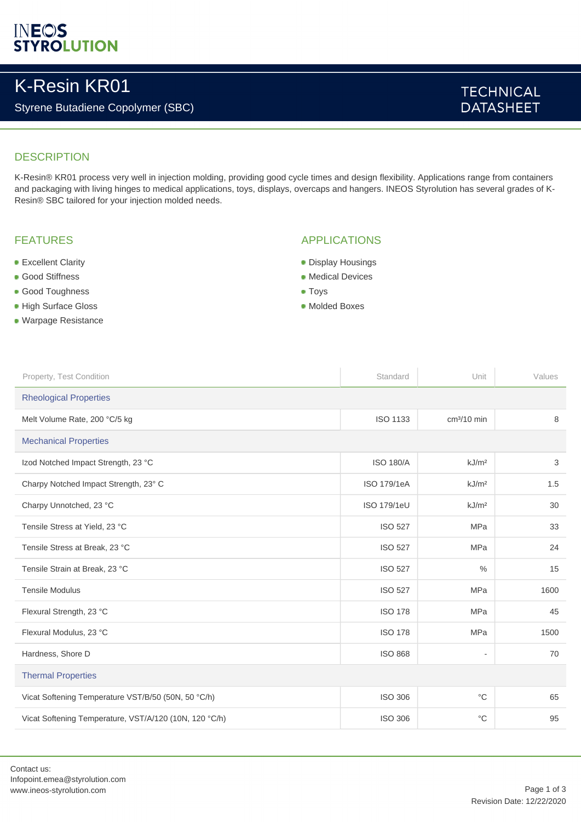# **INEOS**<br>STYROLUTION

## K-Resin KR01

## Styrene Butadiene Copolymer (SBC)

## **TECHNICAL DATASHEET**

### **DESCRIPTION**

K-Resin® KR01 process very well in injection molding, providing good cycle times and design flexibility. Applications range from containers and packaging with living hinges to medical applications, toys, displays, overcaps and hangers. INEOS Styrolution has several grades of K-Resin® SBC tailored for your injection molded needs.

#### FEATURES

- **Excellent Clarity**
- **Good Stiffness**
- Good Toughness
- High Surface Gloss
- Warpage Resistance

### APPLICATIONS

- **Display Housings**
- **Medical Devices**
- **Toys**
- Molded Boxes

| Property, Test Condition                               | Standard           | Unit                     | Values |  |
|--------------------------------------------------------|--------------------|--------------------------|--------|--|
| <b>Rheological Properties</b>                          |                    |                          |        |  |
| Melt Volume Rate, 200 °C/5 kg                          | <b>ISO 1133</b>    | $cm3/10$ min             | 8      |  |
| <b>Mechanical Properties</b>                           |                    |                          |        |  |
| Izod Notched Impact Strength, 23 °C                    | <b>ISO 180/A</b>   | kJ/m <sup>2</sup>        | 3      |  |
| Charpy Notched Impact Strength, 23° C                  | ISO 179/1eA        | kJ/m <sup>2</sup>        | 1.5    |  |
| Charpy Unnotched, 23 °C                                | <b>ISO 179/1eU</b> | kJ/m <sup>2</sup>        | 30     |  |
| Tensile Stress at Yield, 23 °C                         | <b>ISO 527</b>     | <b>MPa</b>               | 33     |  |
| Tensile Stress at Break, 23 °C                         | <b>ISO 527</b>     | <b>MPa</b>               | 24     |  |
| Tensile Strain at Break, 23 °C                         | <b>ISO 527</b>     | $\frac{0}{0}$            | 15     |  |
| <b>Tensile Modulus</b>                                 | <b>ISO 527</b>     | <b>MPa</b>               | 1600   |  |
| Flexural Strength, 23 °C                               | <b>ISO 178</b>     | <b>MPa</b>               | 45     |  |
| Flexural Modulus, 23 °C                                | <b>ISO 178</b>     | <b>MPa</b>               | 1500   |  |
| Hardness, Shore D                                      | <b>ISO 868</b>     | $\overline{\phantom{a}}$ | 70     |  |
| <b>Thermal Properties</b>                              |                    |                          |        |  |
| Vicat Softening Temperature VST/B/50 (50N, 50 °C/h)    | <b>ISO 306</b>     | $^{\circ}C$              | 65     |  |
| Vicat Softening Temperature, VST/A/120 (10N, 120 °C/h) | <b>ISO 306</b>     | $^{\circ}$ C             | 95     |  |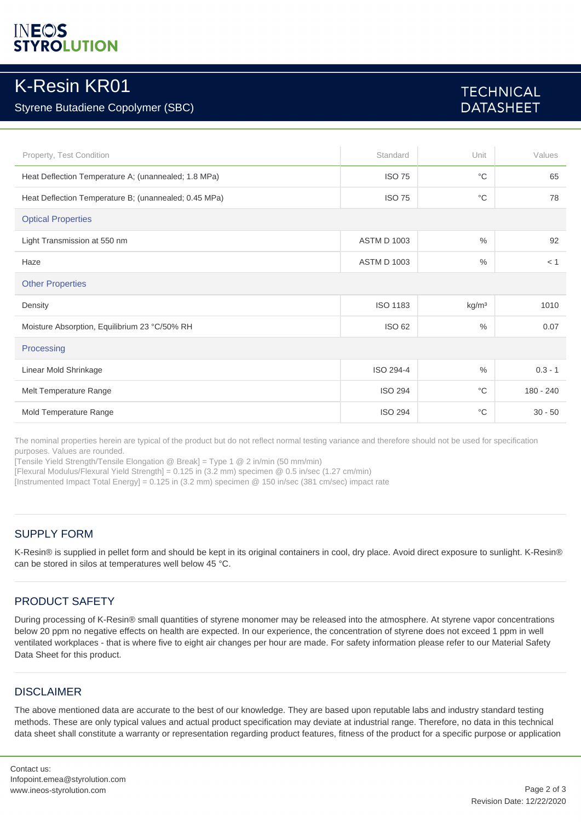# **YROLUTION**

## K-Resin KR01

## Styrene Butadiene Copolymer (SBC)

## **TECHNICAL DATASHEET**

| Property, Test Condition                              | Standard           | Unit              | Values      |
|-------------------------------------------------------|--------------------|-------------------|-------------|
| Heat Deflection Temperature A; (unannealed; 1.8 MPa)  | <b>ISO 75</b>      | $^{\circ}C$       | 65          |
| Heat Deflection Temperature B; (unannealed; 0.45 MPa) | <b>ISO 75</b>      | $^{\circ}C$       | 78          |
| <b>Optical Properties</b>                             |                    |                   |             |
| Light Transmission at 550 nm                          | <b>ASTM D 1003</b> | $\frac{0}{0}$     | 92          |
| Haze                                                  | <b>ASTM D 1003</b> | $\frac{0}{0}$     | < 1         |
| <b>Other Properties</b>                               |                    |                   |             |
| Density                                               | <b>ISO 1183</b>    | kg/m <sup>3</sup> | 1010        |
| Moisture Absorption, Equilibrium 23 °C/50% RH         | ISO 62             | $\frac{0}{0}$     | 0.07        |
| Processing                                            |                    |                   |             |
| Linear Mold Shrinkage                                 | ISO 294-4          | $\frac{0}{0}$     | $0.3 - 1$   |
| Melt Temperature Range                                | <b>ISO 294</b>     | $^{\circ}C$       | $180 - 240$ |
| Mold Temperature Range                                | <b>ISO 294</b>     | $^{\circ}C$       | $30 - 50$   |

The nominal properties herein are typical of the product but do not reflect normal testing variance and therefore should not be used for specification purposes. Values are rounded.

[Tensile Yield Strength/Tensile Elongation @ Break] = Type 1 @ 2 in/min (50 mm/min)

[Flexural Modulus/Flexural Yield Strength] = 0.125 in (3.2 mm) specimen @ 0.5 in/sec (1.27 cm/min)

[Instrumented Impact Total Energy] = 0.125 in (3.2 mm) specimen @ 150 in/sec (381 cm/sec) impact rate

### SUPPLY FORM

K-Resin® is supplied in pellet form and should be kept in its original containers in cool, dry place. Avoid direct exposure to sunlight. K-Resin® can be stored in silos at temperatures well below 45 °C.

## PRODUCT SAFETY

During processing of K-Resin® small quantities of styrene monomer may be released into the atmosphere. At styrene vapor concentrations below 20 ppm no negative effects on health are expected. In our experience, the concentration of styrene does not exceed 1 ppm in well ventilated workplaces - that is where five to eight air changes per hour are made. For safety information please refer to our Material Safety Data Sheet for this product.

### **DISCLAIMER**

The above mentioned data are accurate to the best of our knowledge. They are based upon reputable labs and industry standard testing methods. These are only typical values and actual product specification may deviate at industrial range. Therefore, no data in this technical data sheet shall constitute a warranty or representation regarding product features, fitness of the product for a specific purpose or application